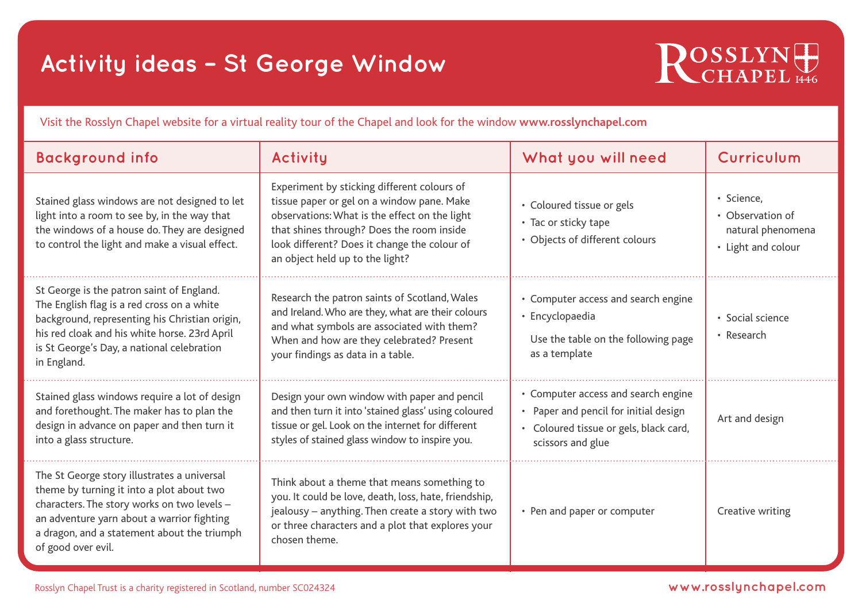## **Activity ideas – St George Window**



Visit the Rosslyn Chapel website for a virtual reality tour of the Chapel and look for the window **www.rosslynchapel.com**

| <b>Background info</b>                                                                                                                                                                                                                                     | Activity                                                                                                                                                                                                                                                                   | What you will need                                                                                                                          | Curriculum                                                                |
|------------------------------------------------------------------------------------------------------------------------------------------------------------------------------------------------------------------------------------------------------------|----------------------------------------------------------------------------------------------------------------------------------------------------------------------------------------------------------------------------------------------------------------------------|---------------------------------------------------------------------------------------------------------------------------------------------|---------------------------------------------------------------------------|
| Stained glass windows are not designed to let<br>light into a room to see by, in the way that<br>the windows of a house do. They are designed<br>to control the light and make a visual effect.                                                            | Experiment by sticking different colours of<br>tissue paper or gel on a window pane. Make<br>observations: What is the effect on the light<br>that shines through? Does the room inside<br>look different? Does it change the colour of<br>an object held up to the light? | • Coloured tissue or gels<br>• Tac or sticky tape<br>• Objects of different colours                                                         | · Science,<br>• Observation of<br>natural phenomena<br>• Light and colour |
| St George is the patron saint of England.<br>The English flag is a red cross on a white<br>background, representing his Christian origin,<br>his red cloak and his white horse. 23rd April<br>is St George's Day, a national celebration<br>in England.    | Research the patron saints of Scotland, Wales<br>and Ireland. Who are they, what are their colours<br>and what symbols are associated with them?<br>When and how are they celebrated? Present<br>your findings as data in a table.                                         | • Computer access and search engine<br>• Encyclopaedia<br>Use the table on the following page<br>as a template                              | · Social science<br>• Research                                            |
| Stained glass windows require a lot of design<br>and forethought. The maker has to plan the<br>design in advance on paper and then turn it<br>into a glass structure.                                                                                      | Design your own window with paper and pencil<br>and then turn it into 'stained glass' using coloured<br>tissue or gel. Look on the internet for different<br>styles of stained glass window to inspire you.                                                                | • Computer access and search engine<br>• Paper and pencil for initial design<br>• Coloured tissue or gels, black card,<br>scissors and glue | Art and design                                                            |
| The St George story illustrates a universal<br>theme by turning it into a plot about two<br>characters. The story works on two levels -<br>an adventure yarn about a warrior fighting<br>a dragon, and a statement about the triumph<br>of good over evil. | Think about a theme that means something to<br>you. It could be love, death, loss, hate, friendship,<br>jealousy - anything. Then create a story with two<br>or three characters and a plot that explores your<br>chosen theme.                                            | • Pen and paper or computer                                                                                                                 | Creative writing                                                          |